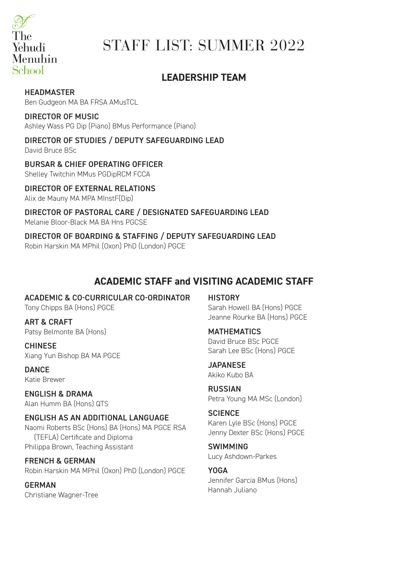

# STAFF LIST: SUMMER 2022

# **LEADERSHIP TEAM**

### HEADMASTER

Ben Gudgeon MA BA FRSA AMusTCL

### DIRECTOR OF MUSIC

Ashley Wass PG Dip (Piano) BMus Performance (Piano)

### DIRECTOR OF STUDIES / DEPUTY SAFEGUARDING LEAD

David Bruce BSc

### BURSAR & CHIEF OPERATING OFFICER

Shelley Twitchin MMus PGDipRCM FCCA

### DIRECTOR OF EXTERNAL RELATIONS

Alix de Mauny MA MPA MInstF(Dip)

### DIRECTOR OF PASTORAL CARE / DESIGNATED SAFEGUARDING LEAD Melanie Bloor-Black MA BA Hns PGCSE

### DIRECTOR OF BOARDING & STAFFING / DEPUTY SAFEGUARDING LEAD Robin Harskin MA MPhil (Oxon) PhD (London) PGCE

# **ACADEMIC STAFF and VISITING ACADEMIC STAFF**

### ACADEMIC & CO-CURRICULAR CO-ORDINATOR

Tony Chipps BA (Hons) PGCE

ART & CRAFT Patsy Belmonte BA (Hons)

CHINESE Xiang Yun Bishop BA MA PGCE

**DANCE** Katie Brewer

ENGLISH & DRAMA Alan Humm BA (Hons) QTS

#### ENGLISH AS AN ADDITIONAL LANGUAGE Naomi Roberts BSc (Hons) BA (Hons) MA PGCE RSA (TEFLA) Certificate and Diploma Philippa Brown, Teaching Assistant

FRENCH & GERMAN Robin Harskin MA MPhil (Oxon) PhD (London) PGCE

GERMAN Christiane Wagner-Tree

**HISTORY** Sarah Howell BA (Hons) PGCE Jeanne Rourke BA (Hons) PGCE

#### MATHEMATICS David Bruce BSc PGCE Sarah Lee BSc (Hons) PGCE

#### **JAPANESE** Akiko Kubo BA

RUSSIAN Petra Young MA MSc (London)

### **SCIENCE** Karen Lyle BSc (Hons) PGCE Jenny Dexter BSc (Hons) PGCE

SWIMMING Lucy Ashdown-Parkes

#### YOGA Jennifer Garcia BMus (Hons) Hannah Juliano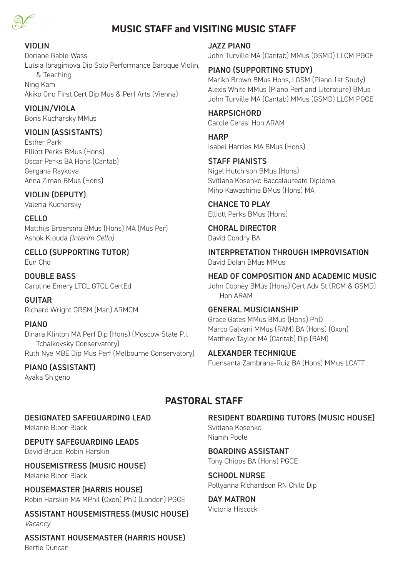

# **MUSIC STAFF and VISITING MUSIC STAFF**

### VIOLIN

Doriane Gable-Wass Lutsia Ibragimova Dip Solo Performance Baroque Violin, & Teaching Ning Kam Akiko Ono First Cert Dip Mus & Perf Arts (Vienna)

VIOLIN/VIOLA Boris Kucharsky MMus

### VIOLIN (ASSISTANTS)

Esther Park Elliott Perks BMus (Hons) Oscar Perks BA Hons (Cantab) Gergana Raykova Anna Ziman BMus (Hons)

### VIOLIN (DEPUTY)

Valeria Kucharsky

CELLO Matthijs Broersma BMus (Hons) MA (Mus Per) Ashok Klouda *(Interim Cello)*

CELLO (SUPPORTING TUTOR) Eun Cho

DOUBLE BASS Caroline Emery LTCL GTCL CertEd

GUITAR Richard Wright GRSM (Man) ARMCM

### PIANO

Dinara Klinton MA Perf Dip (Hons) (Moscow State P.I. Tchaikovsky Conservatory) Ruth Nye MBE Dip Mus Perf (Melbourne Conservatory)

PIANO (ASSISTANT) Ayaka Shigeno

JAZZ PIANO

John Turville MA (Cantab) MMus (GSMD) LLCM PGCE

### PIANO (SUPPORTING STUDY)

Mariko Brown BMus Hons, LGSM (Piano 1st Study) Alexis White MMus (Piano Perf and Literature) BMus John Turville MA (Cantab) MMus (GSMD) LLCM PGCE

**HARPSICHORD** Carole Cerasi Hon ARAM

**HARP** Isabel Harries MA BMus (Hons)

STAFF PIANISTS Nigel Hutchison BMus (Hons) Svitlana Kosenko Baccalaureate Diploma Miho Kawashima BMus (Hons) MA

CHANCE TO PLAY Elliott Perks BMus (Hons)

CHORAL DIRECTOR David Condry BA

INTERPRETATION THROUGH IMPROVISATION David Dolan BMus MMus

HEAD OF COMPOSITION AND ACADEMIC MUSIC John Cooney BMus (Hons) Cert Adv St (RCM & GSMD) Hon ARAM

### GENERAL MUSICIANSHIP

Grace Gates MMus BMus (Hons) PhD Marco Galvani MMus (RAM) BA (Hons) (Oxon) Matthew Taylor MA (Cantab) Dip (RAM)

### ALEXANDER TECHNIQUE

Fuensanta Zambrana-Ruiz BA (Hons) MMus LCATT

# **PASTORAL STAFF**

### DESIGNATED SAFEGUARDING LEAD

Melanie Bloor-Black

DEPUTY SAFEGUARDING LEADS David Bruce, Robin Harskin

HOUSEMISTRESS (MUSIC HOUSE) Melanie Bloor-Black

HOUSEMASTER (HARRIS HOUSE) Robin Harskin MA MPhil (Oxon) PhD (London) PGCE

ASSISTANT HOUSEMISTRESS (MUSIC HOUSE) *Vacancy*

ASSISTANT HOUSEMASTER (HARRIS HOUSE) Bertie Duncan

RESIDENT BOARDING TUTORS (MUSIC HOUSE) Svitlana Kosenko Niamh Poole

BOARDING ASSISTANT Tony Chipps BA (Hons) PGCE

SCHOOL NURSE Pollyanna Richardson RN Child Dip

DAY MATRON Victoria Hiscock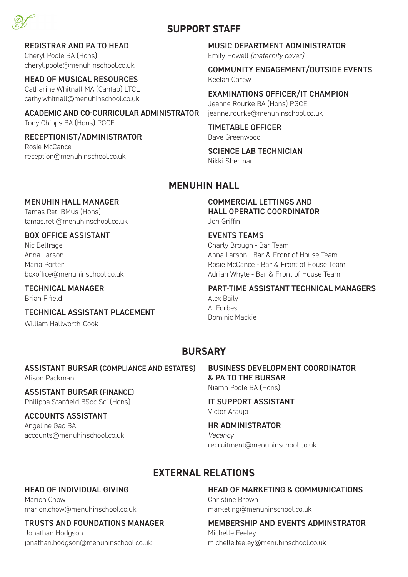

### **SUPPORT STAFF**

### REGISTRAR AND PA TO HEAD

Cheryl Poole BA (Hons) cheryl.poole@menuhinschool.co.uk

### HEAD OF MUSICAL RESOURCES

Catharine Whitnall MA (Cantab) LTCL cathy.whitnall@menuhinschool.co.uk

### ACADEMIC AND CO-CURRICULAR ADMINISTRATOR Tony Chipps BA (Hons) PGCE

RECEPTIONIST/ADMINISTRATOR Rosie McCance

reception@menuhinschool.co.uk

### MUSIC DEPARTMENT ADMINISTRATOR Emily Howell *(maternity cover)*

COMMUNITY ENGAGEMENT/OUTSIDE EVENTS Keelan Carew

EXAMINATIONS OFFICER/IT CHAMPION Jeanne Rourke BA (Hons) PGCE jeanne.rourke@menuhinschool.co.uk

TIMETABLE OFFICER Dave Greenwood

SCIENCE LAB TECHNICIAN Nikki Sherman

# **MENUHIN HALL**

### MENUHIN HALL MANAGER

Tamas Reti BMus (Hons) tamas.reti@menuhinschool.co.uk

### BOX OFFICE ASSISTANT

Nic Belfrage Anna Larson Maria Porter boxoffice@menuhinschool.co.uk

### TECHNICAL MANAGER

Brian Fifield

TECHNICAL ASSISTANT PLACEMENT

William Hallworth-Cook

COMMERCIAL LETTINGS AND HALL OPERATIC COORDINATOR Jon Griffin

EVENTS TEAMS Charly Brough - Bar Team Anna Larson - Bar & Front of House Team Rosie McCance - Bar & Front of House Team Adrian Whyte - Bar & Front of House Team

### PART-TIME ASSISTANT TECHNICAL MANAGERS

Alex Baily Al Forbes Dominic Mackie

# **BURSARY**

### ASSISTANT BURSAR (COMPLIANCE AND ESTATES)

Alison Packman

#### ASSISTANT BURSAR (FINANCE) Philippa Stanfield BSoc Sci (Hons)

### ACCOUNTS ASSISTANT

Angeline Gao BA accounts@menuhinschool.co.uk BUSINESS DEVELOPMENT COORDINATOR & PA TO THE BURSAR Niamh Poole BA (Hons)

IT SUPPORT ASSISTANT Victor Araujo

### HR ADMINISTRATOR

*Vacancy* recruitment@menuhinschool.co.uk

# **EXTERNAL RELATIONS**

### HEAD OF INDIVIDUAL GIVING

Marion Chow marion.chow@menuhinschool.co.uk

### TRUSTS AND FOUNDATIONS MANAGER

Jonathan Hodgson jonathan.hodgson@menuhinschool.co.uk

### HEAD OF MARKETING & COMMUNICATIONS

Christine Brown marketing@menuhinschool.co.uk

### MEMBERSHIP AND EVENTS ADMINSTRATOR

Michelle Feeley michelle.feeley@menuhinschool.co.uk